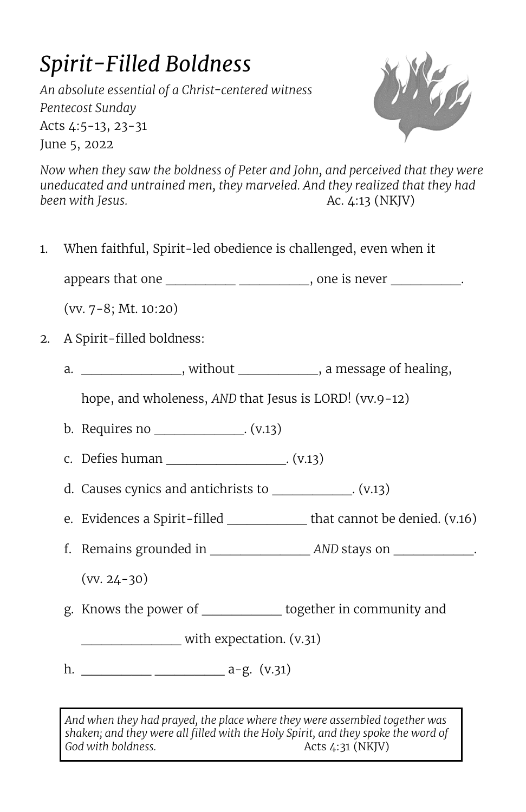## *Spirit-Filled Boldness*

*An absolute essential of a Christ-centered witness Pentecost Sunday*  Acts 4:5-13, 23-31 June 5, 2022



*Now when they saw the boldness of Peter and John, and perceived that they were uneducated and untrained men, they marveled. And they realized that they had been with Jesus.* **Ac. 4:13 (NKJV)** 

1. When faithful, Spirit-led obedience is challenged, even when it

appears that one \_\_\_\_\_\_\_\_\_\_\_\_\_\_\_\_\_\_\_\_\_\_\_\_\_, one is never \_\_\_\_\_\_\_\_\_\_\_.

(vv. 7-8; Mt. 10:20)

- 2. A Spirit-filled boldness:
	- a.  $\blacksquare$ , without , a message of healing,

hope, and wholeness, *AND* that Jesus is LORD! (vv.9-12)

- b. Requires no  $(v.13)$
- c. Defies human  $(0.13)$
- d. Causes cynics and antichrists to  $(0.13)$
- e. Evidences a Spirit-filled that cannot be denied. (v.16)
- f. Remains grounded in \_\_\_\_\_\_\_\_\_\_ *AND* stays on \_\_\_\_\_\_\_\_.

 $(vv. 24-30)$ 

g. Knows the power of \_\_\_\_\_\_\_\_ together in community and

with expectation. (v.31)

h. \_\_\_\_\_\_\_ \_\_\_\_\_\_\_ a-g. (v.31)

*And when they had prayed, the place where they were assembled together was shaken; and they were all filled with the Holy Spirit, and they spoke the word of God with boldness.* **Acts 4:31 (NKIV)**